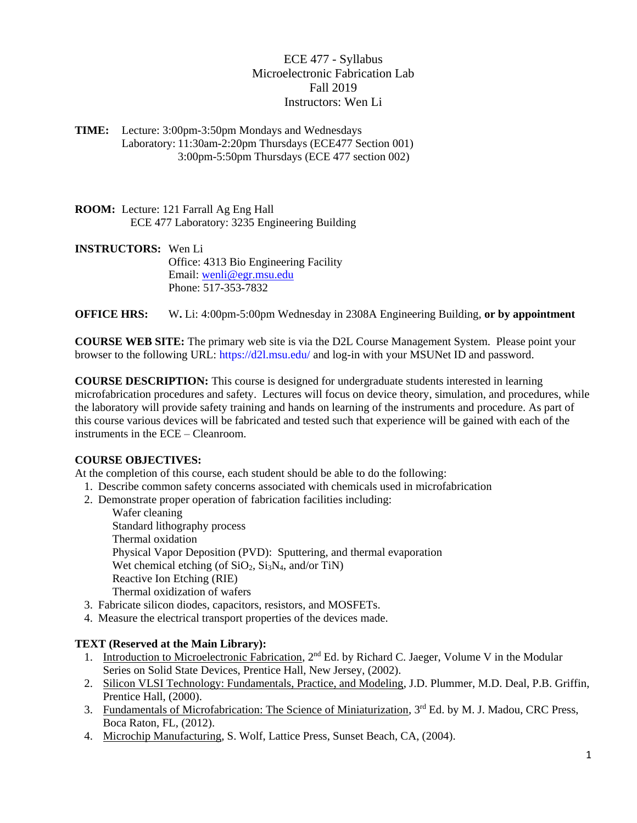ECE 477 - Syllabus Microelectronic Fabrication Lab Fall 2019 Instructors: Wen Li

**TIME:** Lecture: 3:00pm-3:50pm Mondays and Wednesdays Laboratory: 11:30am-2:20pm Thursdays (ECE477 Section 001) 3:00pm-5:50pm Thursdays (ECE 477 section 002)

**ROOM:** Lecture: 121 Farrall Ag Eng Hall ECE 477 Laboratory: 3235 Engineering Building

**INSTRUCTORS:** Wen Li Office: 4313 Bio Engineering Facility Email: [wenli@egr.msu.edu](mailto:wenli@egr.msu.edu) Phone: 517-353-7832

**OFFICE HRS:** W**.** Li: 4:00pm-5:00pm Wednesday in 2308A Engineering Building, **or by appointment**

**COURSE WEB SITE:** The primary web site is via the D2L Course Management System. Please point your browser to the following URL: https://d2l.msu.edu/ and log-in with your MSUNet ID and password.

**COURSE DESCRIPTION:** This course is designed for undergraduate students interested in learning microfabrication procedures and safety. Lectures will focus on device theory, simulation, and procedures, while the laboratory will provide safety training and hands on learning of the instruments and procedure. As part of this course various devices will be fabricated and tested such that experience will be gained with each of the instruments in the ECE – Cleanroom.

## **COURSE OBJECTIVES:**

At the completion of this course, each student should be able to do the following:

- 1. Describe common safety concerns associated with chemicals used in microfabrication
- 2. Demonstrate proper operation of fabrication facilities including:

Wafer cleaning Standard lithography process Thermal oxidation Physical Vapor Deposition (PVD): Sputtering, and thermal evaporation Wet chemical etching (of  $SiO<sub>2</sub>$ ,  $Si<sub>3</sub>N<sub>4</sub>$ , and/or TiN) Reactive Ion Etching (RIE) Thermal oxidization of wafers

- 3. Fabricate silicon diodes, capacitors, resistors, and MOSFETs.
- 4. Measure the electrical transport properties of the devices made.

#### **TEXT (Reserved at the Main Library):**

- 1. Introduction to Microelectronic Fabrication, 2<sup>nd</sup> Ed. by Richard C. Jaeger, Volume V in the Modular Series on Solid State Devices, Prentice Hall, New Jersey, (2002).
- 2. Silicon VLSI Technology: Fundamentals, Practice, and Modeling, J.D. Plummer, M.D. Deal, P.B. Griffin, Prentice Hall, (2000).
- 3. Fundamentals of Microfabrication: The Science of Miniaturization, 3<sup>rd</sup> Ed. by M. J. Madou, CRC Press, Boca Raton, FL, (2012).
- 4. Microchip Manufacturing, S. Wolf, Lattice Press, Sunset Beach, CA, (2004).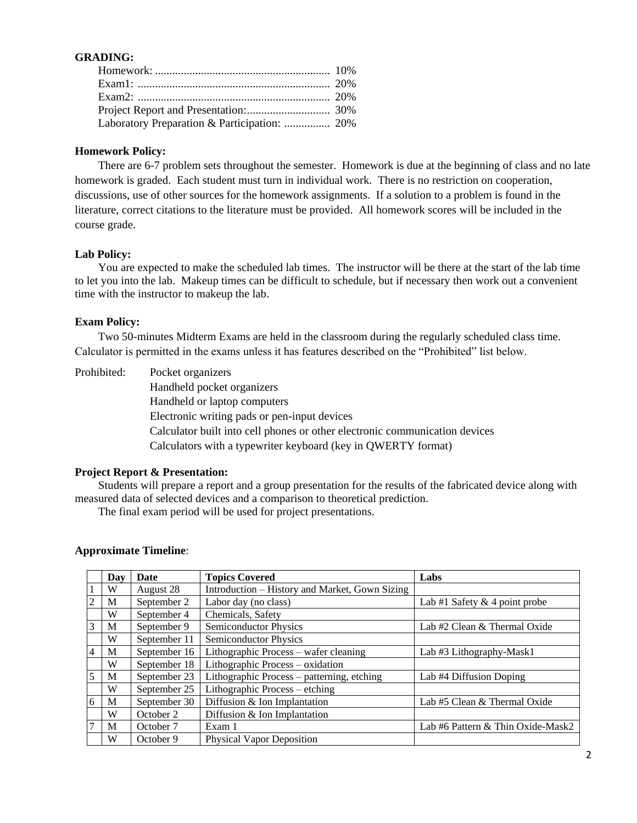# **GRADING:**

| Laboratory Preparation & Participation:  20% |  |
|----------------------------------------------|--|

### **Homework Policy:**

There are 6-7 problem sets throughout the semester. Homework is due at the beginning of class and no late homework is graded. Each student must turn in individual work. There is no restriction on cooperation, discussions, use of other sources for the homework assignments. If a solution to a problem is found in the literature, correct citations to the literature must be provided. All homework scores will be included in the course grade.

## **Lab Policy:**

You are expected to make the scheduled lab times. The instructor will be there at the start of the lab time to let you into the lab. Makeup times can be difficult to schedule, but if necessary then work out a convenient time with the instructor to makeup the lab.

### **Exam Policy:**

Two 50-minutes Midterm Exams are held in the classroom during the regularly scheduled class time. Calculator is permitted in the exams unless it has features described on the "Prohibited" list below.

| Prohibited: | Pocket organizers                                                           |
|-------------|-----------------------------------------------------------------------------|
|             | Handheld pocket organizers                                                  |
|             | Handheld or laptop computers                                                |
|             | Electronic writing pads or pen-input devices                                |
|             | Calculator built into cell phones or other electronic communication devices |
|             | Calculators with a typewriter keyboard (key in QWERTY format)               |
|             |                                                                             |

#### **Project Report & Presentation:**

Students will prepare a report and a group presentation for the results of the fabricated device along with measured data of selected devices and a comparison to theoretical prediction.

The final exam period will be used for project presentations.

## **Approximate Timeline**:

|                | Dav | <b>Date</b>  | <b>Topics Covered</b>                          | Labs                              |
|----------------|-----|--------------|------------------------------------------------|-----------------------------------|
|                | W   | August 28    | Introduction – History and Market, Gown Sizing |                                   |
| $\overline{2}$ | M   | September 2  | Labor day (no class)                           | Lab #1 Safety $& 4$ point probe   |
|                | W   | September 4  | Chemicals, Safety                              |                                   |
| $\overline{3}$ | M   | September 9  | <b>Semiconductor Physics</b>                   | Lab #2 Clean & Thermal Oxide      |
|                | W   | September 11 | <b>Semiconductor Physics</b>                   |                                   |
| $\overline{4}$ | M   | September 16 | Lithographic Process – wafer cleaning          | Lab #3 Lithography-Mask1          |
|                | W   | September 18 | Lithographic Process – oxidation               |                                   |
| 5              | M   | September 23 | Lithographic Process – patterning, etching     | Lab #4 Diffusion Doping           |
|                | W   | September 25 | Lithographic Process – etching                 |                                   |
| 6              | M   | September 30 | Diffusion & Ion Implantation                   | Lab #5 Clean & Thermal Oxide      |
|                | W   | October 2    | Diffusion & Ion Implantation                   |                                   |
| $\overline{7}$ | M   | October 7    | Exam 1                                         | Lab #6 Pattern & Thin Oxide-Mask2 |
|                | W   | October 9    | <b>Physical Vapor Deposition</b>               |                                   |